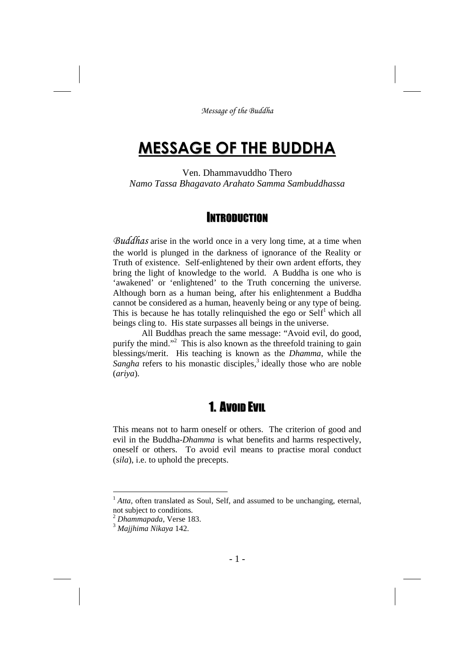# **MESSAGE OF THE BUDDHA**

Ven. Dhammavuddho Thero *Namo Tassa Bhagavato Arahato Samma Sambuddhassa*

## **INTRODUCTION**

*Buddhas* arise in the world once in a very long time, at a time when the world is plunged in the darkness of ignorance of the Reality or Truth of existence. Self-enlightened by their own ardent efforts, they bring the light of knowledge to the world. A Buddha is one who is 'awakened' or 'enlightened' to the Truth concerning the universe. Although born as a human being, after his enlightenment a Buddha cannot be considered as a human, heavenly being or any type of being. This is because he has totally relinquished the ego or  $\text{Self}^1$  which all beings cling to. His state surpasses all beings in the universe.

All Buddhas preach the same message: "Avoid evil, do good, purify the mind."<sup>2</sup> This is also known as the threefold training to gain blessings/merit. His teaching is known as the *Dhamma*, while the Sangha refers to his monastic disciples,<sup>3</sup> ideally those who are noble (*ariya*).

## 1. AVOID EVIL

This means not to harm oneself or others. The criterion of good and evil in the Buddha-*Dhamma* is what benefits and harms respectively, oneself or others. To avoid evil means to practise moral conduct (*sila*), i.e. to uphold the precepts.

<sup>&</sup>lt;sup>1</sup> *Atta*, often translated as Soul, Self, and assumed to be unchanging, eternal, not subject to conditions.

<sup>2</sup> *Dhammapada,* Verse 183.

<sup>3</sup> *Majjhima Nikaya* 142.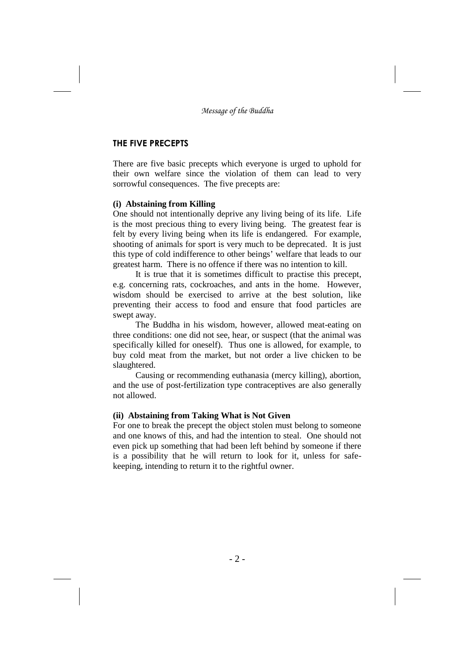### **THE FIVE PRECEPTS**

There are five basic precepts which everyone is urged to uphold for their own welfare since the violation of them can lead to very sorrowful consequences. The five precepts are:

### **(i) Abstaining from Killing**

One should not intentionally deprive any living being of its life. Life is the most precious thing to every living being. The greatest fear is felt by every living being when its life is endangered. For example, shooting of animals for sport is very much to be deprecated. It is just this type of cold indifference to other beings' welfare that leads to our greatest harm. There is no offence if there was no intention to kill.

It is true that it is sometimes difficult to practise this precept, e.g. concerning rats, cockroaches, and ants in the home. However, wisdom should be exercised to arrive at the best solution, like preventing their access to food and ensure that food particles are swept away.

The Buddha in his wisdom, however, allowed meat-eating on three conditions: one did not see, hear, or suspect (that the animal was specifically killed for oneself). Thus one is allowed, for example, to buy cold meat from the market, but not order a live chicken to be slaughtered.

Causing or recommending euthanasia (mercy killing), abortion, and the use of post-fertilization type contraceptives are also generally not allowed.

### **(ii) Abstaining from Taking What is Not Given**

For one to break the precept the object stolen must belong to someone and one knows of this, and had the intention to steal. One should not even pick up something that had been left behind by someone if there is a possibility that he will return to look for it, unless for safekeeping, intending to return it to the rightful owner.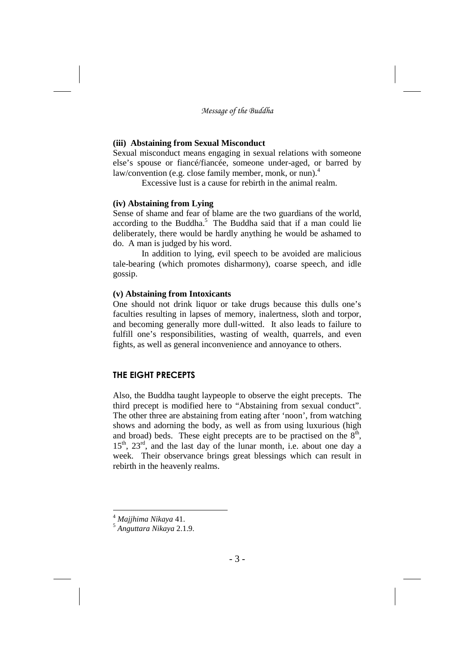### **(iii) Abstaining from Sexual Misconduct**

Sexual misconduct means engaging in sexual relations with someone else's spouse or fiancé/fiancée, someone under-aged, or barred by law/convention (e.g. close family member, monk, or nun).<sup>4</sup>

Excessive lust is a cause for rebirth in the animal realm.

#### **(iv) Abstaining from Lying**

Sense of shame and fear of blame are the two guardians of the world, according to the Buddha. <sup>5</sup> The Buddha said that if a man could lie deliberately, there would be hardly anything he would be ashamed to do. A man is judged by his word.

In addition to lying, evil speech to be avoided are malicious tale-bearing (which promotes disharmony), coarse speech, and idle gossip.

### **(v) Abstaining from Intoxicants**

One should not drink liquor or take drugs because this dulls one's faculties resulting in lapses of memory, inalertness, sloth and torpor, and becoming generally more dull-witted. It also leads to failure to fulfill one's responsibilities, wasting of wealth, quarrels, and even fights, as well as general inconvenience and annoyance to others.

### **THE EIGHT PRECEPTS**

Also, the Buddha taught laypeople to observe the eight precepts. The third precept is modified here to "Abstaining from sexual conduct". The other three are abstaining from eating after 'noon', from watching shows and adorning the body, as well as from using luxurious (high and broad) beds. These eight precepts are to be practised on the  $8<sup>th</sup>$ ,  $15<sup>th</sup>$ ,  $23<sup>rd</sup>$ , and the last day of the lunar month, i.e. about one day a week. Their observance brings great blessings which can result in rebirth in the heavenly realms.

<sup>4</sup> *Majjhima Nikaya* 41.

<sup>5</sup> *Anguttara Nikaya* 2.1.9.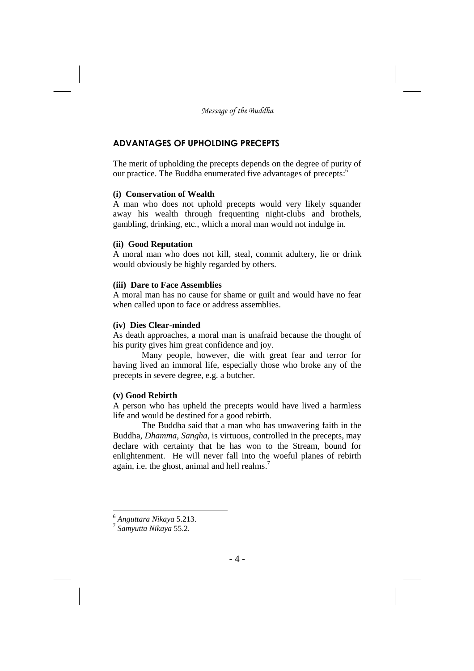## **ADVANTAGES OF UPHOLDING PRECEPTS**

The merit of upholding the precepts depends on the degree of purity of our practice. The Buddha enumerated five advantages of precepts:<sup>6</sup>

### **(i) Conservation of Wealth**

A man who does not uphold precepts would very likely squander away his wealth through frequenting night-clubs and brothels, gambling, drinking, etc., which a moral man would not indulge in.

### **(ii) Good Reputation**

A moral man who does not kill, steal, commit adultery, lie or drink would obviously be highly regarded by others.

### **(iii) Dare to Face Assemblies**

A moral man has no cause for shame or guilt and would have no fear when called upon to face or address assemblies.

### **(iv) Dies Clear-minded**

As death approaches, a moral man is unafraid because the thought of his purity gives him great confidence and joy.

Many people, however, die with great fear and terror for having lived an immoral life, especially those who broke any of the precepts in severe degree, e.g. a butcher.

### **(v) Good Rebirth**

A person who has upheld the precepts would have lived a harmless life and would be destined for a good rebirth.

The Buddha said that a man who has unwavering faith in the Buddha, *Dhamma*, *Sangha*, is virtuous, controlled in the precepts, may declare with certainty that he has won to the Stream, bound for enlightenment. He will never fall into the woeful planes of rebirth again, i.e. the ghost, animal and hell realms.<sup>7</sup>

<sup>6</sup> *Anguttara Nikaya* 5.213.

<sup>7</sup> *Samyutta Nikaya* 55.2.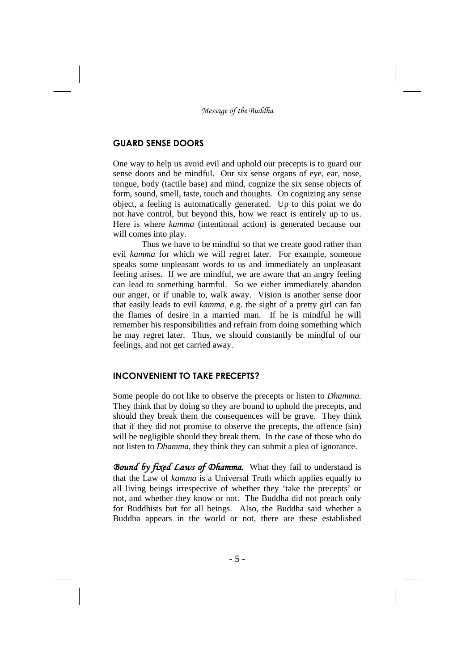### **GUARD SENSE DOORS**

One way to help us avoid evil and uphold our precepts is to guard our sense doors and be mindful. Our six sense organs of eye, ear, nose, tongue, body (tactile base) and mind, cognize the six sense objects of form, sound, smell, taste, touch and thoughts. On cognizing any sense object, a feeling is automatically generated. Up to this point we do not have control, but beyond this, how we react is entirely up to us. Here is where *kamma* (intentional action) is generated because our will comes into play.

Thus we have to be mindful so that we create good rather than evil *kamma* for which we will regret later. For example, someone speaks some unpleasant words to us and immediately an unpleasant feeling arises. If we are mindful, we are aware that an angry feeling can lead to something harmful. So we either immediately abandon our anger, or if unable to, walk away. Vision is another sense door that easily leads to evil *kamma*, e.g. the sight of a pretty girl can fan the flames of desire in a married man. If he is mindful he will remember his responsibilities and refrain from doing something which he may regret later. Thus, we should constantly be mindful of our feelings, and not get carried away.

### **INCONVENIENT TO TAKE PRECEPTS?**

Some people do not like to observe the precepts or listen to *Dhamma.* They think that by doing so they are bound to uphold the precepts, and should they break them the consequences will be grave. They think that if they did not promise to observe the precepts, the offence (sin) will be negligible should they break them. In the case of those who do not listen to *Dhamma*, they think they can submit a plea of ignorance.

*Bound by fixed Laws of Dhamma.* What they fail to understand is that the Law of *kamma* is a Universal Truth which applies equally to all living beings irrespective of whether they 'take the precepts' or not, and whether they know or not. The Buddha did not preach only for Buddhists but for all beings. Also, the Buddha said whether a Buddha appears in the world or not, there are these established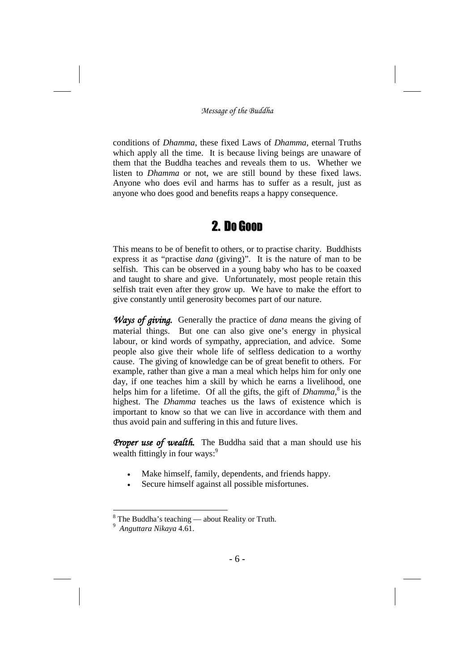conditions of *Dhamma*, these fixed Laws of *Dhamma*, eternal Truths which apply all the time. It is because living beings are unaware of them that the Buddha teaches and reveals them to us. Whether we listen to *Dhamma* or not, we are still bound by these fixed laws. Anyone who does evil and harms has to suffer as a result, just as anyone who does good and benefits reaps a happy consequence.

# 2. DO GOOD

This means to be of benefit to others, or to practise charity. Buddhists express it as "practise *dana* (giving)". It is the nature of man to be selfish. This can be observed in a young baby who has to be coaxed and taught to share and give. Unfortunately, most people retain this selfish trait even after they grow up. We have to make the effort to give constantly until generosity becomes part of our nature.

*Ways of giving.* Generally the practice of *dana* means the giving of material things. But one can also give one's energy in physical labour, or kind words of sympathy, appreciation, and advice. Some people also give their whole life of selfless dedication to a worthy cause. The giving of knowledge can be of great benefit to others. For example, rather than give a man a meal which helps him for only one day, if one teaches him a skill by which he earns a livelihood, one helps him for a lifetime. Of all the gifts, the gift of *Dhamma*,<sup>8</sup> is the highest. The *Dhamma* teaches us the laws of existence which is important to know so that we can live in accordance with them and thus avoid pain and suffering in this and future lives.

Proper use of wealth. The Buddha said that a man should use his wealth fittingly in four ways:<sup>9</sup>

- Make himself, family, dependents, and friends happy.
- Secure himself against all possible misfortunes.

 $8$  The Buddha's teaching — about Reality or Truth.

<sup>9</sup> *Anguttara Nikaya* 4.61.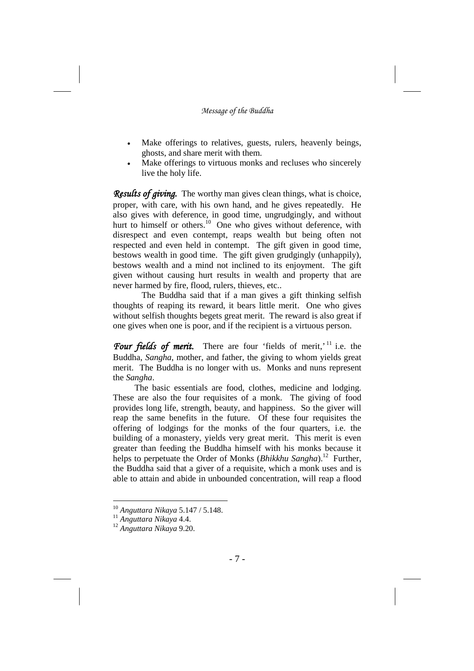- Make offerings to relatives, guests, rulers, heavenly beings, ghosts, and share merit with them.
- Make offerings to virtuous monks and recluses who sincerely live the holy life.

*Results of giving.* The worthy man gives clean things, what is choice, proper, with care, with his own hand, and he gives repeatedly. He also gives with deference, in good time, ungrudgingly, and without hurt to himself or others.<sup>10</sup> One who gives without deference, with disrespect and even contempt, reaps wealth but being often not respected and even held in contempt. The gift given in good time, bestows wealth in good time. The gift given grudgingly (unhappily), bestows wealth and a mind not inclined to its enjoyment. The gift given without causing hurt results in wealth and property that are never harmed by fire, flood, rulers, thieves, etc..

The Buddha said that if a man gives a gift thinking selfish thoughts of reaping its reward, it bears little merit. One who gives without selfish thoughts begets great merit. The reward is also great if one gives when one is poor, and if the recipient is a virtuous person.

Four fields of merit. There are four 'fields of merit,'<sup>11</sup> i.e. the Buddha, *Sangha*, mother, and father, the giving to whom yields great merit. The Buddha is no longer with us. Monks and nuns represent the *Sangha*.

The basic essentials are food, clothes, medicine and lodging. These are also the four requisites of a monk. The giving of food provides long life, strength, beauty, and happiness. So the giver will reap the same benefits in the future. Of these four requisites the offering of lodgings for the monks of the four quarters, i.e. the building of a monastery, yields very great merit. This merit is even greater than feeding the Buddha himself with his monks because it helps to perpetuate the Order of Monks (*Bhikkhu Sangha*). <sup>12</sup> Further, the Buddha said that a giver of a requisite, which a monk uses and is able to attain and abide in unbounded concentration, will reap a flood

<sup>10</sup> *Anguttara Nikaya* 5.147 / 5.148.

<sup>11</sup> *Anguttara Nikaya* 4.4.

<sup>12</sup> *Anguttara Nikaya* 9.20.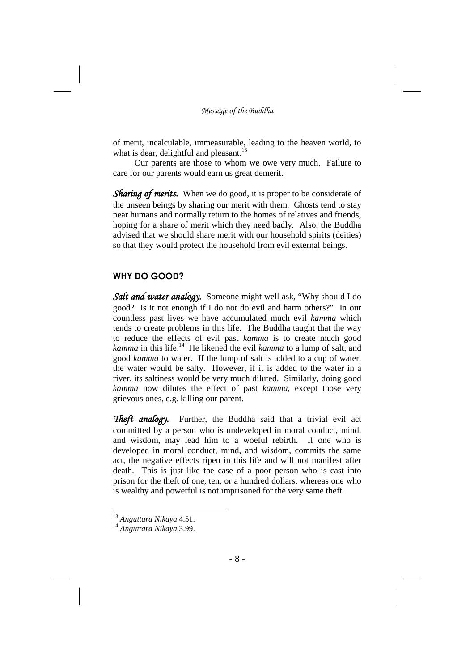of merit, incalculable, immeasurable, leading to the heaven world, to what is dear, delightful and pleasant.<sup>13</sup>

Our parents are those to whom we owe very much. Failure to care for our parents would earn us great demerit.

*Sharing of merits.* When we do good, it is proper to be considerate of the unseen beings by sharing our merit with them. Ghosts tend to stay near humans and normally return to the homes of relatives and friends, hoping for a share of merit which they need badly. Also, the Buddha advised that we should share merit with our household spirits (deities) so that they would protect the household from evil external beings.

### **WHY DO GOOD?**

*Salt and water analogy.* Someone might well ask, "Why should I do good? Is it not enough if I do not do evil and harm others?" In our countless past lives we have accumulated much evil *kamma* which tends to create problems in this life. The Buddha taught that the way to reduce the effects of evil past *kamma* is to create much good *kamma* in this life. <sup>14</sup> He likened the evil *kamma* to a lump of salt, and good *kamma* to water. If the lump of salt is added to a cup of water, the water would be salty. However, if it is added to the water in a river, its saltiness would be very much diluted. Similarly, doing good *kamma* now dilutes the effect of past *kamma,* except those very grievous ones, e.g. killing our parent.

*Theft analogy.* Further, the Buddha said that a trivial evil act committed by a person who is undeveloped in moral conduct, mind, and wisdom, may lead him to a woeful rebirth. If one who is developed in moral conduct, mind, and wisdom, commits the same act, the negative effects ripen in this life and will not manifest after death. This is just like the case of a poor person who is cast into prison for the theft of one, ten, or a hundred dollars, whereas one who is wealthy and powerful is not imprisoned for the very same theft.

<sup>13</sup> *Anguttara Nikaya* 4.51.

<sup>14</sup> *Anguttara Nikaya* 3.99.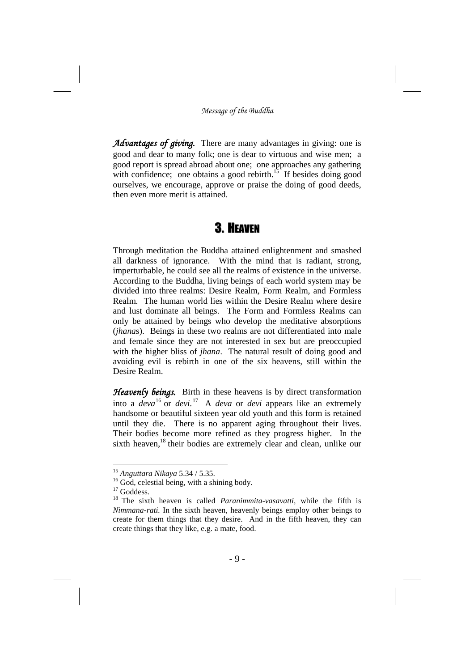*Advantages of giving.* There are many advantages in giving: one is good and dear to many folk; one is dear to virtuous and wise men; a good report is spread abroad about one; one approaches any gathering with confidence; one obtains a good rebirth. $15$  If besides doing good ourselves, we encourage, approve or praise the doing of good deeds, then even more merit is attained.

## 3. HEAVEN

Through meditation the Buddha attained enlightenment and smashed all darkness of ignorance. With the mind that is radiant, strong, imperturbable, he could see all the realms of existence in the universe. According to the Buddha, living beings of each world system may be divided into three realms: Desire Realm, Form Realm, and Formless Realm. The human world lies within the Desire Realm where desire and lust dominate all beings. The Form and Formless Realms can only be attained by beings who develop the meditative absorptions (*jhana*s). Beings in these two realms are not differentiated into male and female since they are not interested in sex but are preoccupied with the higher bliss of *jhana*. The natural result of doing good and avoiding evil is rebirth in one of the six heavens, still within the Desire Realm.

*Heavenly beings.* Birth in these heavens is by direct transformation into a *deva*<sup>16</sup> or *devi.* <sup>17</sup> A *deva* or *devi* appears like an extremely handsome or beautiful sixteen year old youth and this form is retained until they die. There is no apparent aging throughout their lives. Their bodies become more refined as they progress higher. In the sixth heaven,<sup>18</sup> their bodies are extremely clear and clean, unlike our

<sup>15</sup> *Anguttara Nikaya* 5.34 / 5.35.

<sup>&</sup>lt;sup>16</sup> God, celestial being, with a shining body.

<sup>&</sup>lt;sup>17</sup> Goddess.

<sup>18</sup> The sixth heaven is called *Paranimmita-vasavatti,* while the fifth is *Nimmana-rati.* In the sixth heaven, heavenly beings employ other beings to create for them things that they desire. And in the fifth heaven, they can create things that they like, e.g. a mate, food.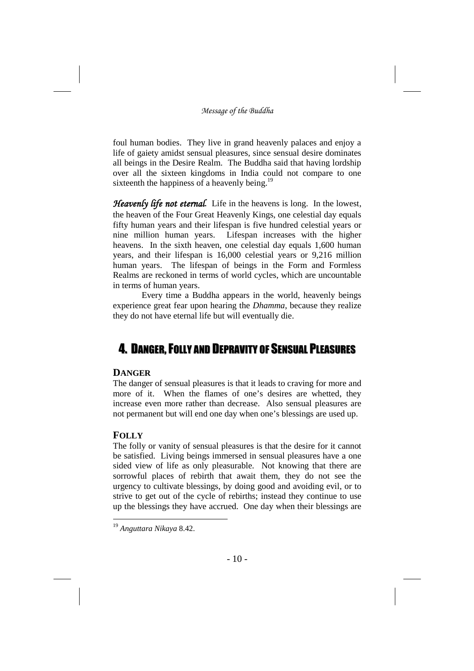foul human bodies. They live in grand heavenly palaces and enjoy a life of gaiety amidst sensual pleasures, since sensual desire dominates all beings in the Desire Realm. The Buddha said that having lordship over all the sixteen kingdoms in India could not compare to one sixteenth the happiness of a heavenly being.<sup>19</sup>

*Heavenly life not eternal.* Life in the heavens is long. In the lowest, the heaven of the Four Great Heavenly Kings, one celestial day equals fifty human years and their lifespan is five hundred celestial years or nine million human years. Lifespan increases with the higher heavens. In the sixth heaven, one celestial day equals 1,600 human years, and their lifespan is 16,000 celestial years or 9,216 million human years. The lifespan of beings in the Form and Formless Realms are reckoned in terms of world cycles, which are uncountable in terms of human years.

Every time a Buddha appears in the world, heavenly beings experience great fear upon hearing the *Dhamma*, because they realize they do not have eternal life but will eventually die.

## 4. DANGER,FOLLY AND DEPRAVITY OF SENSUAL PLEASURES

## **DANGER**

The danger of sensual pleasures is that it leads to craving for more and more of it. When the flames of one's desires are whetted, they increase even more rather than decrease. Also sensual pleasures are not permanent but will end one day when one's blessings are used up.

## **FOLLY**

The folly or vanity of sensual pleasures is that the desire for it cannot be satisfied. Living beings immersed in sensual pleasures have a one sided view of life as only pleasurable. Not knowing that there are sorrowful places of rebirth that await them, they do not see the urgency to cultivate blessings, by doing good and avoiding evil, or to strive to get out of the cycle of rebirths; instead they continue to use up the blessings they have accrued. One day when their blessings are

<sup>19</sup> *Anguttara Nikaya* 8.42.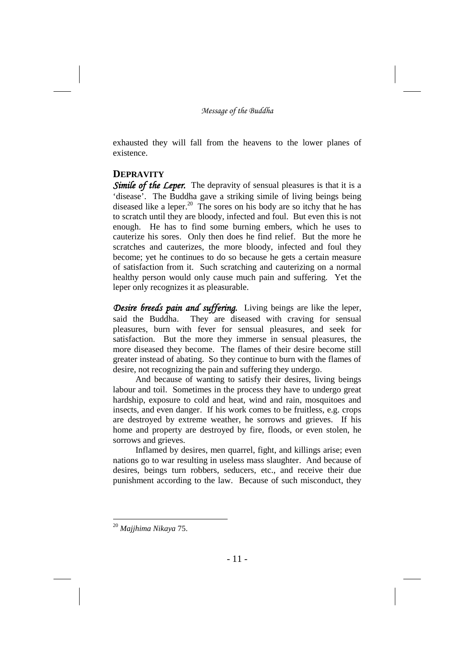exhausted they will fall from the heavens to the lower planes of existence.

### **DEPRAVITY**

*Simile of the Leper.* The depravity of sensual pleasures is that it is a 'disease'. The Buddha gave a striking simile of living beings being diseased like a leper. <sup>20</sup> The sores on his body are so itchy that he has to scratch until they are bloody, infected and foul. But even this is not enough. He has to find some burning embers, which he uses to cauterize his sores. Only then does he find relief. But the more he scratches and cauterizes, the more bloody, infected and foul they become; yet he continues to do so because he gets a certain measure of satisfaction from it. Such scratching and cauterizing on a normal healthy person would only cause much pain and suffering. Yet the leper only recognizes it as pleasurable.

*Desire breeds pain and suffering.* Living beings are like the leper, said the Buddha. They are diseased with craving for sensual pleasures, burn with fever for sensual pleasures, and seek for satisfaction. But the more they immerse in sensual pleasures, the more diseased they become. The flames of their desire become still greater instead of abating. So they continue to burn with the flames of desire, not recognizing the pain and suffering they undergo.

And because of wanting to satisfy their desires, living beings labour and toil. Sometimes in the process they have to undergo great hardship, exposure to cold and heat, wind and rain, mosquitoes and insects, and even danger. If his work comes to be fruitless, e.g. crops are destroyed by extreme weather, he sorrows and grieves. If his home and property are destroyed by fire, floods, or even stolen, he sorrows and grieves.

Inflamed by desires, men quarrel, fight, and killings arise; even nations go to war resulting in useless mass slaughter. And because of desires, beings turn robbers, seducers, etc., and receive their due punishment according to the law. Because of such misconduct, they

<sup>20</sup> *Majjhima Nikaya* 75.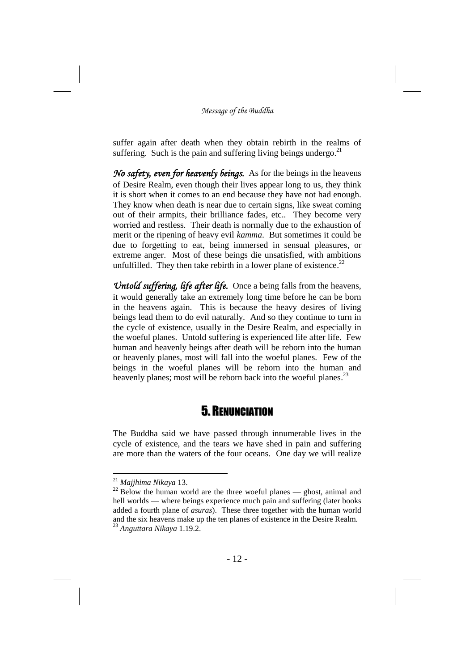suffer again after death when they obtain rebirth in the realms of suffering. Such is the pain and suffering living beings undergo. $21$ 

*No safety, even for heavenly beings.* As for the beings in the heavens of Desire Realm, even though their lives appear long to us, they think it is short when it comes to an end because they have not had enough. They know when death is near due to certain signs, like sweat coming out of their armpits, their brilliance fades, etc.. They become very worried and restless. Their death is normally due to the exhaustion of merit or the ripening of heavy evil *kamma*. But sometimes it could be due to forgetting to eat, being immersed in sensual pleasures, or extreme anger. Most of these beings die unsatisfied, with ambitions unfulfilled. They then take rebirth in a lower plane of existence.<sup>22</sup>

*Untold suffering, life after life.* Once a being falls from the heavens, it would generally take an extremely long time before he can be born in the heavens again. This is because the heavy desires of living beings lead them to do evil naturally. And so they continue to turn in the cycle of existence, usually in the Desire Realm, and especially in the woeful planes. Untold suffering is experienced life after life. Few human and heavenly beings after death will be reborn into the human or heavenly planes, most will fall into the woeful planes. Few of the beings in the woeful planes will be reborn into the human and heavenly planes; most will be reborn back into the woeful planes.<sup>23</sup>

## 5. RENUNCIATION

The Buddha said we have passed through innumerable lives in the cycle of existence, and the tears we have shed in pain and suffering are more than the waters of the four oceans. One day we will realize

<sup>21</sup> *Majjhima Nikaya* 13.

 $22$  Below the human world are the three woeful planes — ghost, animal and hell worlds — where beings experience much pain and suffering (later books added a fourth plane of *asuras*). These three together with the human world and the six heavens make up the ten planes of existence in the Desire Realm. <sup>23</sup> *Anguttara Nikaya* 1.19.2.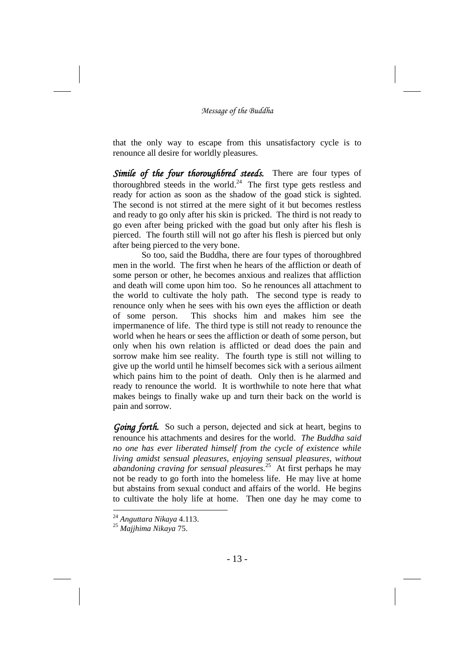that the only way to escape from this unsatisfactory cycle is to renounce all desire for worldly pleasures.

*Simile of the four thoroughbred steeds.* There are four types of thoroughbred steeds in the world. $^{24}$  The first type gets restless and ready for action as soon as the shadow of the goad stick is sighted. The second is not stirred at the mere sight of it but becomes restless and ready to go only after his skin is pricked. The third is not ready to go even after being pricked with the goad but only after his flesh is pierced. The fourth still will not go after his flesh is pierced but only after being pierced to the very bone.

So too, said the Buddha, there are four types of thoroughbred men in the world. The first when he hears of the affliction or death of some person or other, he becomes anxious and realizes that affliction and death will come upon him too. So he renounces all attachment to the world to cultivate the holy path. The second type is ready to renounce only when he sees with his own eyes the affliction or death of some person. This shocks him and makes him see the impermanence of life. The third type is still not ready to renounce the world when he hears or sees the affliction or death of some person, but only when his own relation is afflicted or dead does the pain and sorrow make him see reality. The fourth type is still not willing to give up the world until he himself becomes sick with a serious ailment which pains him to the point of death. Only then is he alarmed and ready to renounce the world. It is worthwhile to note here that what makes beings to finally wake up and turn their back on the world is pain and sorrow.

*Going forth.* So such a person, dejected and sick at heart, begins to renounce his attachments and desires for the world. *The Buddha said no one has ever liberated himself from the cycle of existence while living amidst sensual pleasures, enjoying sensual pleasures, without abandoning craving for sensual pleasures.* <sup>25</sup> At first perhaps he may not be ready to go forth into the homeless life. He may live at home but abstains from sexual conduct and affairs of the world. He begins to cultivate the holy life at home. Then one day he may come to

<sup>24</sup> *Anguttara Nikaya* 4.113.

<sup>25</sup> *Majjhima Nikaya* 75.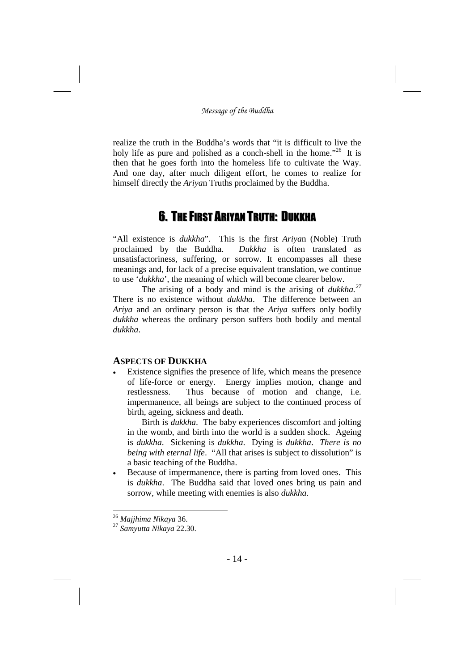realize the truth in the Buddha's words that "it is difficult to live the holy life as pure and polished as a conch-shell in the home."<sup>26</sup> It is then that he goes forth into the homeless life to cultivate the Way. And one day, after much diligent effort, he comes to realize for himself directly the *Ariya*n Truths proclaimed by the Buddha.

# 6. THE FIRST ARIYAN TRUTH: DUKKHA

"All existence is *dukkha*". This is the first *Ariya*n (Noble) Truth proclaimed by the Buddha. *Dukkha* is often translated as unsatisfactoriness, suffering, or sorrow. It encompasses all these meanings and, for lack of a precise equivalent translation, we continue to use '*dukkha*', the meaning of which will become clearer below.

The arising of a body and mind is the arising of *dukkha. 27* There is no existence without *dukkha*. The difference between an *Ariya* and an ordinary person is that the *Ariya* suffers only bodily *dukkha* whereas the ordinary person suffers both bodily and mental *dukkha*.

## **ASPECTS OF DUKKHA**

 Existence signifies the presence of life, which means the presence of life-force or energy. Energy implies motion, change and restlessness. Thus because of motion and change, i.e. impermanence, all beings are subject to the continued process of birth, ageing, sickness and death.

Birth is *dukkha*. The baby experiences discomfort and jolting in the womb, and birth into the world is a sudden shock. Ageing is *dukkha*. Sickening is *dukkha*. Dying is *dukkha*. *There is no being with eternal life*. "All that arises is subject to dissolution" is a basic teaching of the Buddha.

 Because of impermanence, there is parting from loved ones. This is *dukkha*. The Buddha said that loved ones bring us pain and sorrow, while meeting with enemies is also *dukkha*.

<sup>26</sup> *Majjhima Nikaya* 36.

<sup>27</sup> *Samyutta Nikaya* 22.30.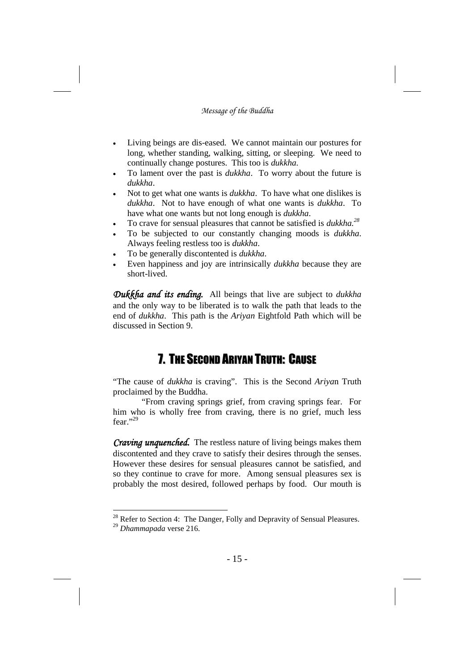- Living beings are dis-eased. We cannot maintain our postures for long, whether standing, walking, sitting, or sleeping. We need to continually change postures. This too is *dukkha*.
- To lament over the past is *dukkha*. To worry about the future is *dukkha*.
- Not to get what one wants is *dukkha*. To have what one dislikes is *dukkha*. Not to have enough of what one wants is *dukkha*. To have what one wants but not long enough is *dukkha*.
- To crave for sensual pleasures that cannot be satisfied is *dukkha. 28*
- To be subjected to our constantly changing moods is *dukkha*. Always feeling restless too is *dukkha*.
- To be generally discontented is *dukkha*.
- Even happiness and joy are intrinsically *dukkha* because they are short-lived.

*Dukkha and its ending.* All beings that live are subject to *dukkha* and the only way to be liberated is to walk the path that leads to the end of *dukkha*. This path is the *Ariyan* Eightfold Path which will be discussed in Section 9.

# 7. THE SECOND ARIYAN TRUTH: CAUSE

"The cause of *dukkha* is craving". This is the Second *Ariya*n Truth proclaimed by the Buddha.

"From craving springs grief, from craving springs fear. For him who is wholly free from craving, there is no grief, much less fear." $^{29}$ 

*Craving unquenched.* The restless nature of living beings makes them discontented and they crave to satisfy their desires through the senses. However these desires for sensual pleasures cannot be satisfied, and so they continue to crave for more. Among sensual pleasures sex is probably the most desired, followed perhaps by food. Our mouth is

<sup>&</sup>lt;sup>28</sup> Refer to Section 4: The Danger, Folly and Depravity of Sensual Pleasures. <sup>29</sup> *Dhammapada* verse 216.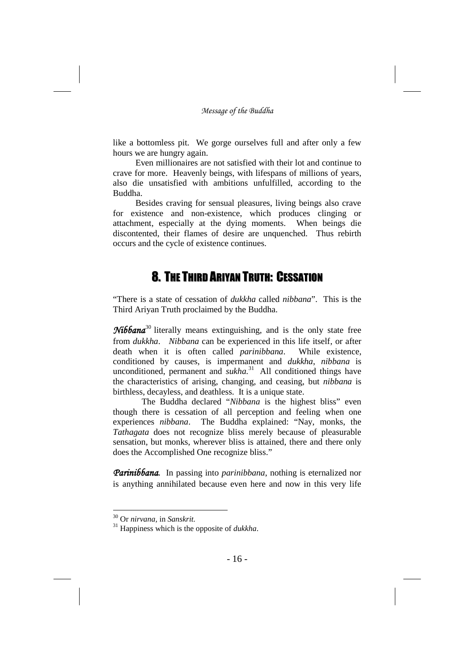like a bottomless pit. We gorge ourselves full and after only a few hours we are hungry again.

Even millionaires are not satisfied with their lot and continue to crave for more. Heavenly beings, with lifespans of millions of years, also die unsatisfied with ambitions unfulfilled, according to the Buddha.

Besides craving for sensual pleasures, living beings also crave for existence and non-existence, which produces clinging or attachment, especially at the dying moments. When beings die discontented, their flames of desire are unquenched. Thus rebirth occurs and the cycle of existence continues.

## 8. THE THIRD ARIYAN TRUTH: CESSATION

"There is a state of cessation of *dukkha* called *nibbana*". This is the Third Ariyan Truth proclaimed by the Buddha.

**Nibbana**<sup>30</sup> literally means extinguishing, and is the only state free from *dukkha*. *Nibbana* can be experienced in this life itself, or after death when it is often called *parinibbana*. While existence, conditioned by causes, is impermanent and *dukkha*, *nibbana* is unconditioned, permanent and *sukha*.<sup>31</sup> All conditioned things have the characteristics of arising, changing, and ceasing, but *nibbana* is birthless, decayless, and deathless. It is a unique state.

The Buddha declared "*Nibbana* is the highest bliss" even though there is cessation of all perception and feeling when one experiences *nibbana*. The Buddha explained: "Nay, monks, the *Tathagata* does not recognize bliss merely because of pleasurable sensation, but monks, wherever bliss is attained, there and there only does the Accomplished One recognize bliss."

*Parinibbana.* In passing into *parinibbana*, nothing is eternalized nor is anything annihilated because even here and now in this very life

<sup>30</sup> Or *nirvana,* in *Sanskrit.*

<sup>31</sup> Happiness which is the opposite of *dukkha*.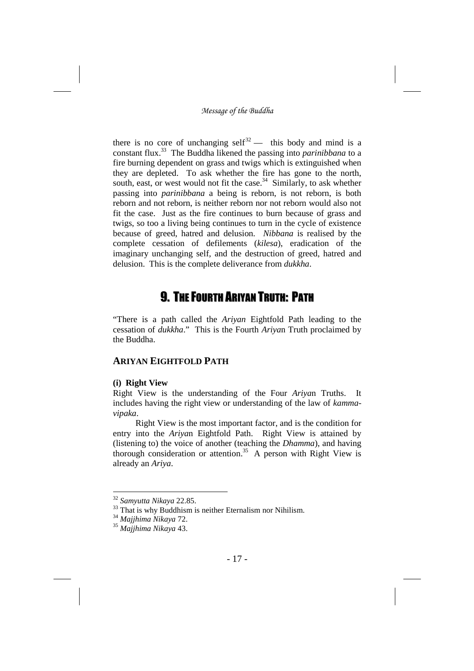there is no core of unchanging self<sup>32</sup> — this body and mind is a constant flux. <sup>33</sup> The Buddha likened the passing into *parinibbana* to a fire burning dependent on grass and twigs which is extinguished when they are depleted. To ask whether the fire has gone to the north, south, east, or west would not fit the case. $34$  Similarly, to ask whether passing into *parinibbana* a being is reborn, is not reborn, is both reborn and not reborn, is neither reborn nor not reborn would also not fit the case. Just as the fire continues to burn because of grass and twigs, so too a living being continues to turn in the cycle of existence because of greed, hatred and delusion. *Nibbana* is realised by the complete cessation of defilements (*kilesa*), eradication of the imaginary unchanging self, and the destruction of greed, hatred and delusion. This is the complete deliverance from *dukkha*.

# 9. THE FOURTH ARIYAN TRUTH: PATH

"There is a path called the *Ariyan* Eightfold Path leading to the cessation of *dukkha*." This is the Fourth *Ariya*n Truth proclaimed by the Buddha.

## **ARIYAN EIGHTFOLD PATH**

### **(i) Right View**

Right View is the understanding of the Four *Ariya*n Truths. It includes having the right view or understanding of the law of *kammavipaka*.

Right View is the most important factor, and is the condition for entry into the *Ariya*n Eightfold Path. Right View is attained by (listening to) the voice of another (teaching the *Dhamma*), and having thorough consideration or attention. <sup>35</sup> A person with Right View is already an *Ariya*.

<sup>32</sup> *Samyutta Nikaya* 22.85.

 $33$  That is why Buddhism is neither Eternalism nor Nihilism.

<sup>34</sup> *Majjhima Nikaya* 72.

<sup>35</sup> *Majjhima Nikaya* 43.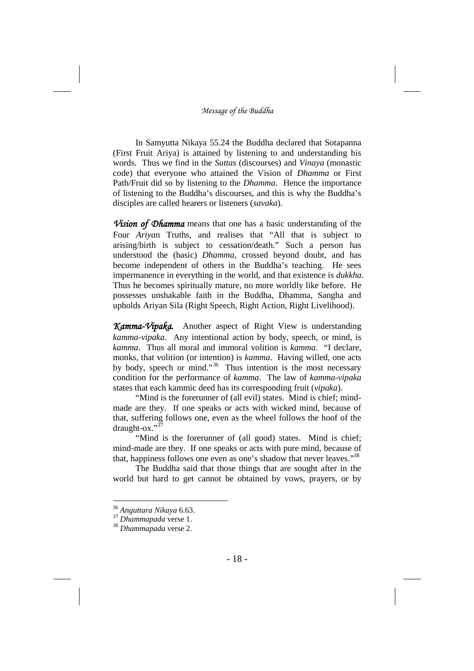In Samyutta Nikaya 55.24 the Buddha declared that Sotapanna (First Fruit Ariya) is attained by listening to and understanding his words. Thus we find in the *Suttas* (discourses) and *Vinaya* (monastic code) that everyone who attained the Vision of *Dhamma* or First Path/Fruit did so by listening to the *Dhamma*. Hence the importance of listening to the Buddha's discourses, and this is why the Buddha's disciples are called hearers or listeners (*savaka*).

*Vision of Dhamma* means that one has a basic understanding of the Four *Ariya*n Truths, and realises that "All that is subject to arising/birth is subject to cessation/death." Such a person has understood the (basic) *Dhamma*, crossed beyond doubt, and has become independent of others in the Buddha's teaching. He sees impermanence in everything in the world, and that existence is *dukkha*. Thus he becomes spiritually mature, no more worldly like before. He possesses unshakable faith in the Buddha, Dhamma, Sangha and upholds Ariyan Sila (Right Speech, Right Action, Right Livelihood).

*Kamma-Vipaka.* Another aspect of Right View is understanding *kamma-vipaka*. Any intentional action by body, speech, or mind, is *kamma*. Thus all moral and immoral volition is *kamma*. "I declare, monks, that volition (or intention) is *kamma*. Having willed, one acts by body, speech or mind."<sup>36</sup> Thus intention is the most necessary condition for the performance of *kamma*. The law of *kamma*-*vipaka* states that each kammic deed has its corresponding fruit (*vipaka*).

"Mind is the forerunner of (all evil) states. Mind is chief; mindmade are they. If one speaks or acts with wicked mind, because of that, suffering follows one, even as the wheel follows the hoof of the draught-ox."<sup>37</sup>

"Mind is the forerunner of (all good) states. Mind is chief; mind-made are they. If one speaks or acts with pure mind, because of that, happiness follows one even as one's shadow that never leaves."<sup>38</sup>

The Buddha said that those things that are sought after in the world but hard to get cannot be obtained by vows, prayers, or by

<sup>36</sup> *Anguttara Nikaya* 6.63.

<sup>37</sup> *Dhammapada* verse 1.

<sup>38</sup> *Dhammapada* verse 2.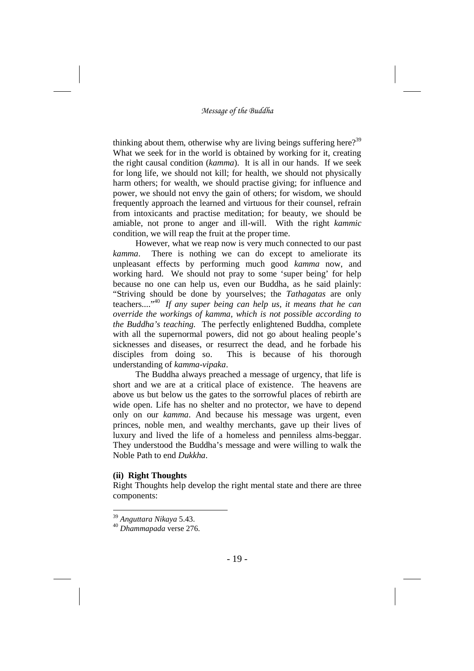thinking about them, otherwise why are living beings suffering here?<sup>39</sup> What we seek for in the world is obtained by working for it, creating the right causal condition (*kamma*). It is all in our hands. If we seek for long life, we should not kill; for health, we should not physically harm others; for wealth, we should practise giving; for influence and power, we should not envy the gain of others; for wisdom, we should frequently approach the learned and virtuous for their counsel, refrain from intoxicants and practise meditation; for beauty, we should be amiable, not prone to anger and ill-will. With the right *kammic* condition, we will reap the fruit at the proper time.

However, what we reap now is very much connected to our past *kamma*. There is nothing we can do except to ameliorate its unpleasant effects by performing much good *kamma* now, and working hard. We should not pray to some 'super being' for help because no one can help us, even our Buddha, as he said plainly: "Striving should be done by yourselves; the *Tathagatas* are only teachers...." <sup>40</sup> *If any super being can help us, it means that he can override the workings of kamma, which is not possible according to the Buddha's teaching.* The perfectly enlightened Buddha, complete with all the supernormal powers, did not go about healing people's sicknesses and diseases, or resurrect the dead, and he forbade his disciples from doing so. This is because of his thorough understanding of *kamma*-*vipaka*.

The Buddha always preached a message of urgency, that life is short and we are at a critical place of existence. The heavens are above us but below us the gates to the sorrowful places of rebirth are wide open. Life has no shelter and no protector, we have to depend only on our *kamma*. And because his message was urgent, even princes, noble men, and wealthy merchants, gave up their lives of luxury and lived the life of a homeless and penniless alms-beggar. They understood the Buddha's message and were willing to walk the Noble Path to end *Dukkha*.

### **(ii) Right Thoughts**

Right Thoughts help develop the right mental state and there are three components:

<sup>39</sup> *Anguttara Nikaya* 5.43.

<sup>40</sup> *Dhammapada* verse 276.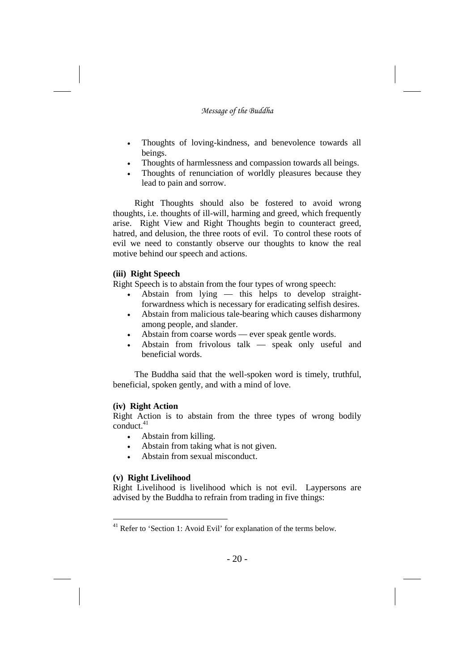- Thoughts of loving-kindness, and benevolence towards all beings.
- Thoughts of harmlessness and compassion towards all beings.
- Thoughts of renunciation of worldly pleasures because they lead to pain and sorrow.

Right Thoughts should also be fostered to avoid wrong thoughts, i.e. thoughts of ill-will, harming and greed, which frequently arise. Right View and Right Thoughts begin to counteract greed, hatred, and delusion, the three roots of evil. To control these roots of evil we need to constantly observe our thoughts to know the real motive behind our speech and actions.

### **(iii) Right Speech**

Right Speech is to abstain from the four types of wrong speech:

- Abstain from lying this helps to develop straightforwardness which is necessary for eradicating selfish desires.
- Abstain from malicious tale-bearing which causes disharmony among people, and slander.
- Abstain from coarse words –– ever speak gentle words.
- Abstain from frivolous talk –– speak only useful and beneficial words.

The Buddha said that the well-spoken word is timely, truthful, beneficial, spoken gently, and with a mind of love.

### **(iv) Right Action**

Right Action is to abstain from the three types of wrong bodily conduct. 41

- Abstain from killing.
- Abstain from taking what is not given.
- Abstain from sexual misconduct.

## **(v) Right Livelihood**

Right Livelihood is livelihood which is not evil. Laypersons are advised by the Buddha to refrain from trading in five things:

<sup>&</sup>lt;sup>41</sup> Refer to 'Section 1: Avoid Evil' for explanation of the terms below.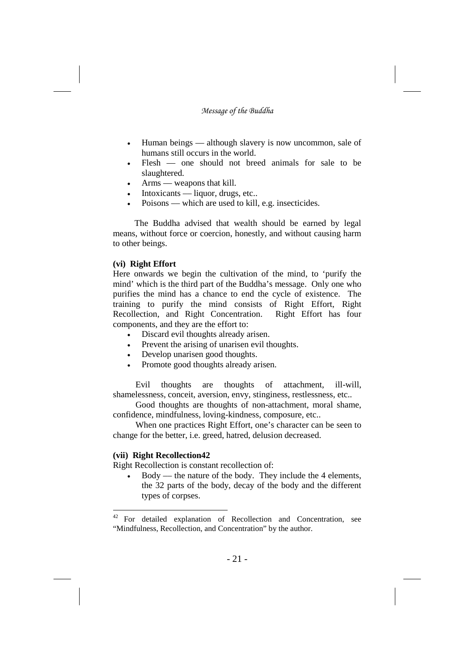- Human beings –– although slavery is now uncommon, sale of humans still occurs in the world.
- Flesh –– one should not breed animals for sale to be slaughtered.
- Arms –– weapons that kill.
- Intoxicants –– liquor, drugs, etc..
- Poisons –– which are used to kill, e.g. insecticides.

The Buddha advised that wealth should be earned by legal means, without force or coercion, honestly, and without causing harm to other beings.

### **(vi) Right Effort**

Here onwards we begin the cultivation of the mind, to 'purify the mind' which is the third part of the Buddha's message. Only one who purifies the mind has a chance to end the cycle of existence. The training to purify the mind consists of Right Effort, Right Recollection, and Right Concentration. Right Effort has four components, and they are the effort to:

- Discard evil thoughts already arisen.
- Prevent the arising of unarisen evil thoughts.
- Develop unarisen good thoughts.
- Promote good thoughts already arisen.

Evil thoughts are thoughts of attachment, ill-will, shamelessness, conceit, aversion, envy, stinginess, restlessness, etc..

Good thoughts are thoughts of non-attachment, moral shame, confidence, mindfulness, loving-kindness, composure, etc..

When one practices Right Effort, one's character can be seen to change for the better, i.e. greed, hatred, delusion decreased.

### **(vii) Right Recollection42**

Right Recollection is constant recollection of:

 Body –– the nature of the body. They include the 4 elements, the 32 parts of the body, decay of the body and the different types of corpses.

<sup>42</sup> For detailed explanation of Recollection and Concentration, see "Mindfulness, Recollection, and Concentration" by the author.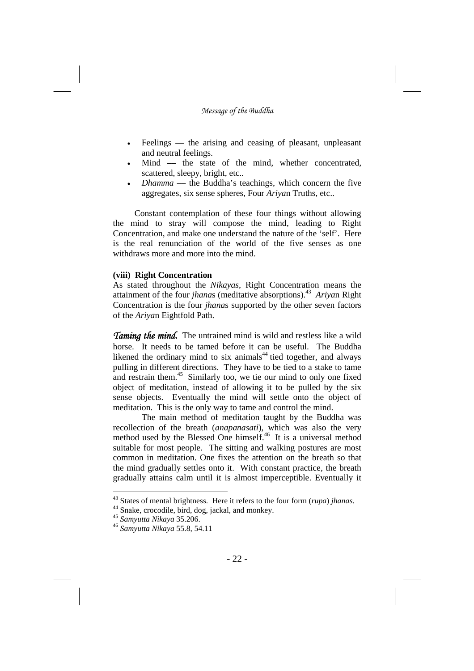- Feelings the arising and ceasing of pleasant, unpleasant and neutral feelings.
- Mind –– the state of the mind, whether concentrated, scattered, sleepy, bright, etc..
- *Dhamma* the Buddha's teachings, which concern the five aggregates, six sense spheres, Four *Ariya*n Truths, etc..

Constant contemplation of these four things without allowing the mind to stray will compose the mind, leading to Right Concentration, and make one understand the nature of the 'self'. Here is the real renunciation of the world of the five senses as one withdraws more and more into the mind.

### **(viii) Right Concentration**

As stated throughout the *Nikayas*, Right Concentration means the attainment of the four *jhana*s (meditative absorptions). <sup>43</sup> *Ariya*n Right Concentration is the four *jhana*s supported by the other seven factors of the *Ariya*n Eightfold Path.

*Taming the mind.* The untrained mind is wild and restless like a wild horse. It needs to be tamed before it can be useful. The Buddha likened the ordinary mind to six animals<sup>44</sup> tied together, and always pulling in different directions. They have to be tied to a stake to tame and restrain them. <sup>45</sup> Similarly too, we tie our mind to only one fixed object of meditation, instead of allowing it to be pulled by the six sense objects. Eventually the mind will settle onto the object of meditation. This is the only way to tame and control the mind.

The main method of meditation taught by the Buddha was recollection of the breath (*anapanasati*), which was also the very method used by the Blessed One himself.<sup>46</sup> It is a universal method suitable for most people. The sitting and walking postures are most common in meditation. One fixes the attention on the breath so that the mind gradually settles onto it. With constant practice, the breath gradually attains calm until it is almost imperceptible. Eventually it

<sup>43</sup> States of mental brightness. Here it refers to the four form (*rupa*) *jhanas*.

<sup>44</sup> Snake, crocodile, bird, dog, jackal, and monkey.

<sup>45</sup> *Samyutta Nikaya* 35.206.

<sup>46</sup> *Samyutta Nikaya* 55.8, 54.11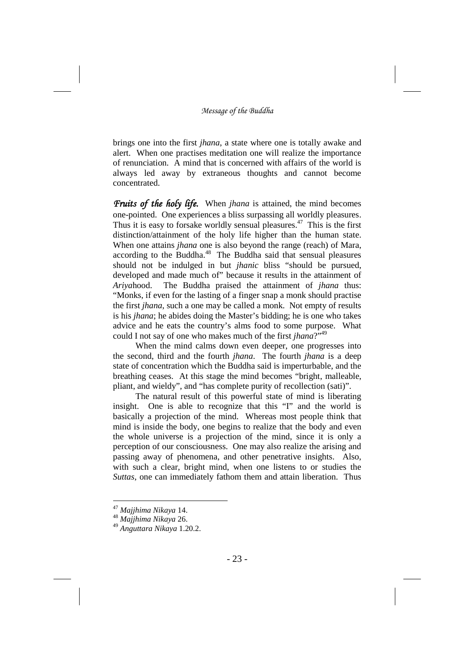brings one into the first *jhana*, a state where one is totally awake and alert. When one practises meditation one will realize the importance of renunciation. A mind that is concerned with affairs of the world is always led away by extraneous thoughts and cannot become concentrated.

*Fruits of the holy life.* When *jhana* is attained, the mind becomes one-pointed. One experiences a bliss surpassing all worldly pleasures. Thus it is easy to forsake worldly sensual pleasures. <sup>47</sup> This is the first distinction/attainment of the holy life higher than the human state. When one attains *jhana* one is also beyond the range (reach) of Mara, according to the Buddha. <sup>48</sup> The Buddha said that sensual pleasures should not be indulged in but *jhanic* bliss "should be pursued, developed and made much of" because it results in the attainment of *Ariya*hood. The Buddha praised the attainment of *jhana* thus: "Monks, if even for the lasting of a finger snap a monk should practise the first *jhana*, such a one may be called a monk. Not empty of results is his *jhana*; he abides doing the Master's bidding; he is one who takes advice and he eats the country's alms food to some purpose. What could I not say of one who makes much of the first *jhana*?"<sup>49</sup>

When the mind calms down even deeper, one progresses into the second, third and the fourth *jhana*. The fourth *jhana* is a deep state of concentration which the Buddha said is imperturbable, and the breathing ceases. At this stage the mind becomes "bright, malleable, pliant, and wieldy", and "has complete purity of recollection (sati)".

The natural result of this powerful state of mind is liberating insight. One is able to recognize that this "I" and the world is basically a projection of the mind. Whereas most people think that mind is inside the body, one begins to realize that the body and even the whole universe is a projection of the mind, since it is only a perception of our consciousness. One may also realize the arising and passing away of phenomena, and other penetrative insights. Also, with such a clear, bright mind, when one listens to or studies the *Suttas*, one can immediately fathom them and attain liberation. Thus

<sup>47</sup> *Majjhima Nikaya* 14.

<sup>48</sup> *Majjhima Nikaya* 26.

<sup>49</sup> *Anguttara Nikaya* 1.20.2.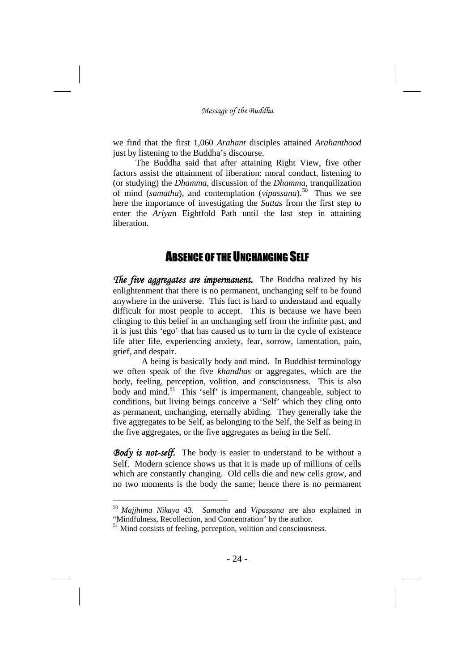we find that the first 1,060 *Arahant* disciples attained *Arahanthood* just by listening to the Buddha's discourse.

The Buddha said that after attaining Right View, five other factors assist the attainment of liberation: moral conduct, listening to (or studying) the *Dhamma*, discussion of the *Dhamma*, tranquilization of mind (*samatha*), and contemplation (*vipassana*). <sup>50</sup> Thus we see here the importance of investigating the *Suttas* from the first step to enter the *Ariya*n Eightfold Path until the last step in attaining liberation.

## **ABSENCE OF THE UNCHANGING SELF**

*The five aggregates are impermanent.* The Buddha realized by his enlightenment that there is no permanent, unchanging self to be found anywhere in the universe. This fact is hard to understand and equally difficult for most people to accept. This is because we have been clinging to this belief in an unchanging self from the infinite past, and it is just this 'ego' that has caused us to turn in the cycle of existence life after life, experiencing anxiety, fear, sorrow, lamentation, pain, grief, and despair.

A being is basically body and mind. In Buddhist terminology we often speak of the five *khandhas* or aggregates, which are the body, feeling, perception, volition, and consciousness. This is also body and mind.<sup>51</sup> This 'self' is impermanent, changeable, subject to conditions, but living beings conceive a 'Self' which they cling onto as permanent, unchanging, eternally abiding. They generally take the five aggregates to be Self, as belonging to the Self, the Self as being in the five aggregates, or the five aggregates as being in the Self.

Body is not-self. The body is easier to understand to be without a Self. Modern science shows us that it is made up of millions of cells which are constantly changing. Old cells die and new cells grow, and no two moments is the body the same; hence there is no permanent

<sup>50</sup> *Majjhima Nikaya* 43. *Samatha* and *Vipassana* are also explained in "Mindfulness, Recollection, and Concentration" by the author.

<sup>51</sup> Mind consists of feeling, perception, volition and consciousness.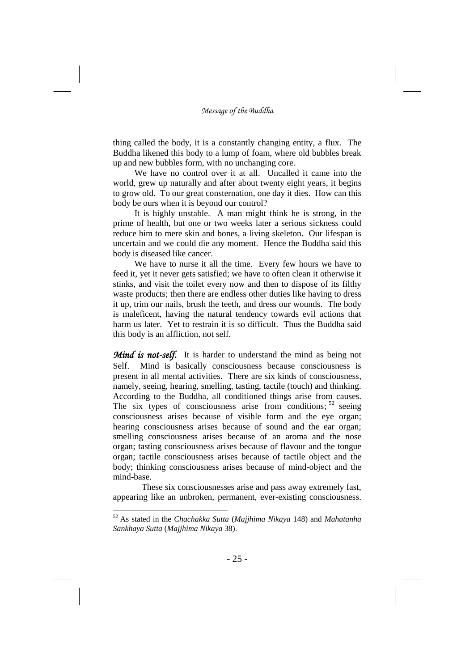thing called the body, it is a constantly changing entity, a flux. The Buddha likened this body to a lump of foam, where old bubbles break up and new bubbles form, with no unchanging core.

We have no control over it at all. Uncalled it came into the world, grew up naturally and after about twenty eight years, it begins to grow old. To our great consternation, one day it dies. How can this body be ours when it is beyond our control?

It is highly unstable. A man might think he is strong, in the prime of health, but one or two weeks later a serious sickness could reduce him to mere skin and bones, a living skeleton. Our lifespan is uncertain and we could die any moment. Hence the Buddha said this body is diseased like cancer.

We have to nurse it all the time. Every few hours we have to feed it, yet it never gets satisfied; we have to often clean it otherwise it stinks, and visit the toilet every now and then to dispose of its filthy waste products; then there are endless other duties like having to dress it up, trim our nails, brush the teeth, and dress our wounds. The body is maleficent, having the natural tendency towards evil actions that harm us later. Yet to restrain it is so difficult. Thus the Buddha said this body is an affliction, not self.

*Mind is not-self.* It is harder to understand the mind as being not Self. Mind is basically consciousness because consciousness is present in all mental activities. There are six kinds of consciousness, namely, seeing, hearing, smelling, tasting, tactile (touch) and thinking. According to the Buddha, all conditioned things arise from causes. The six types of consciousness arise from conditions;<sup>52</sup> seeing consciousness arises because of visible form and the eye organ; hearing consciousness arises because of sound and the ear organ; smelling consciousness arises because of an aroma and the nose organ; tasting consciousness arises because of flavour and the tongue organ; tactile consciousness arises because of tactile object and the body; thinking consciousness arises because of mind-object and the mind-base.

These six consciousnesses arise and pass away extremely fast, appearing like an unbroken, permanent, ever-existing consciousness.

<sup>52</sup> As stated in the *Chachakka Sutta* (*Majjhima Nikaya* 148) and *Mahatanha Sankhaya Sutta* (*Majjhima Nikaya* 38).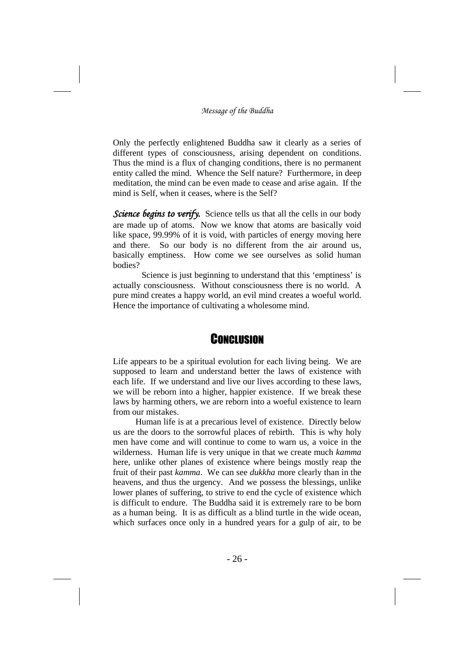Only the perfectly enlightened Buddha saw it clearly as a series of different types of consciousness, arising dependent on conditions. Thus the mind is a flux of changing conditions, there is no permanent entity called the mind. Whence the Self nature? Furthermore, in deep meditation, the mind can be even made to cease and arise again. If the mind is Self, when it ceases, where is the Self?

*Science begins to verify.* Science tells us that all the cells in our body are made up of atoms. Now we know that atoms are basically void like space, 99.99% of it is void, with particles of energy moving here and there. So our body is no different from the air around us, basically emptiness. How come we see ourselves as solid human bodies?

Science is just beginning to understand that this 'emptiness' is actually consciousness. Without consciousness there is no world. A pure mind creates a happy world, an evil mind creates a woeful world. Hence the importance of cultivating a wholesome mind.

## **CONCLUSION**

Life appears to be a spiritual evolution for each living being. We are supposed to learn and understand better the laws of existence with each life. If we understand and live our lives according to these laws, we will be reborn into a higher, happier existence. If we break these laws by harming others, we are reborn into a woeful existence to learn from our mistakes.

Human life is at a precarious level of existence. Directly below us are the doors to the sorrowful places of rebirth. This is why holy men have come and will continue to come to warn us, a voice in the wilderness. Human life is very unique in that we create much *kamma* here, unlike other planes of existence where beings mostly reap the fruit of their past *kamma*. We can see *dukkha* more clearly than in the heavens, and thus the urgency. And we possess the blessings, unlike lower planes of suffering, to strive to end the cycle of existence which is difficult to endure. The Buddha said it is extremely rare to be born as a human being. It is as difficult as a blind turtle in the wide ocean, which surfaces once only in a hundred years for a gulp of air, to be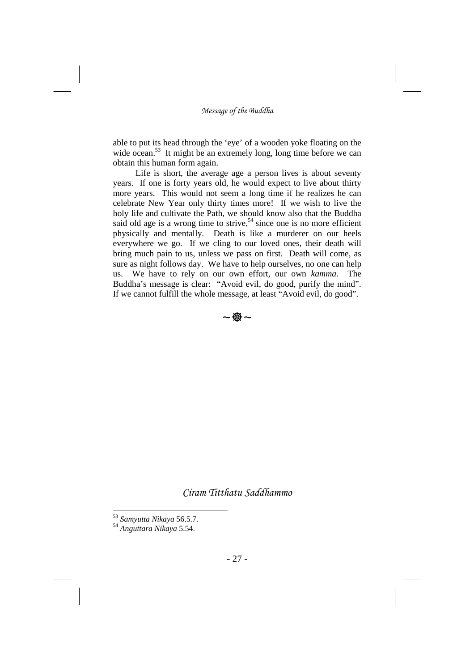able to put its head through the 'eye' of a wooden yoke floating on the wide ocean.<sup>53</sup> It might be an extremely long, long time before we can obtain this human form again.

Life is short, the average age a person lives is about seventy years. If one is forty years old, he would expect to live about thirty more years. This would not seem a long time if he realizes he can celebrate New Year only thirty times more! If we wish to live the holy life and cultivate the Path, we should know also that the Buddha said old age is a wrong time to strive,<sup>54</sup> since one is no more efficient physically and mentally. Death is like a murderer on our heels everywhere we go. If we cling to our loved ones, their death will bring much pain to us, unless we pass on first. Death will come, as sure as night follows day. We have to help ourselves, no one can help us. We have to rely on our own effort, our own *kamma*. The Buddha's message is clear: "Avoid evil, do good, purify the mind". If we cannot fulfill the whole message, at least "Avoid evil, do good".

 $\sim$   $\bigcirc$   $\sim$ 

*Ciram Titthatu Saddhammo*

<sup>53</sup> *Samyutta Nikaya* 56.5.7.

<sup>54</sup> *Anguttara Nikaya* 5.54.